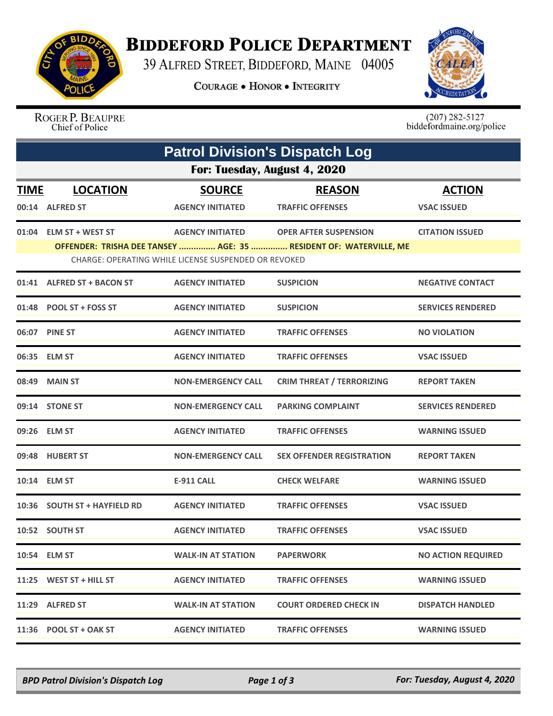

## **BIDDEFORD POLICE DEPARTMENT**

39 ALFRED STREET, BIDDEFORD, MAINE 04005

**COURAGE . HONOR . INTEGRITY** 



ROGER P. BEAUPRE Chief of Police

 $(207)$  282-5127<br>biddefordmaine.org/police

| <b>Patrol Division's Dispatch Log</b><br>For: Tuesday, August 4, 2020 |                                                                                                                           |                           |                                  |                           |  |  |  |
|-----------------------------------------------------------------------|---------------------------------------------------------------------------------------------------------------------------|---------------------------|----------------------------------|---------------------------|--|--|--|
|                                                                       |                                                                                                                           |                           |                                  |                           |  |  |  |
|                                                                       | 00:14 ALFRED ST                                                                                                           | <b>AGENCY INITIATED</b>   | <b>TRAFFIC OFFENSES</b>          | <b>VSAC ISSUED</b>        |  |  |  |
|                                                                       | 01:04 ELM ST + WEST ST                                                                                                    | <b>AGENCY INITIATED</b>   | <b>OPER AFTER SUSPENSION</b>     | <b>CITATION ISSUED</b>    |  |  |  |
|                                                                       | OFFENDER: TRISHA DEE TANSEY  AGE: 35  RESIDENT OF: WATERVILLE, ME<br>CHARGE: OPERATING WHILE LICENSE SUSPENDED OR REVOKED |                           |                                  |                           |  |  |  |
|                                                                       | 01:41 ALFRED ST + BACON ST                                                                                                | <b>AGENCY INITIATED</b>   | <b>SUSPICION</b>                 | <b>NEGATIVE CONTACT</b>   |  |  |  |
|                                                                       | 01:48 POOL ST + FOSS ST                                                                                                   | <b>AGENCY INITIATED</b>   | <b>SUSPICION</b>                 | <b>SERVICES RENDERED</b>  |  |  |  |
|                                                                       | 06:07 PINE ST                                                                                                             | <b>AGENCY INITIATED</b>   | <b>TRAFFIC OFFENSES</b>          | <b>NO VIOLATION</b>       |  |  |  |
|                                                                       | 06:35 ELM ST                                                                                                              | <b>AGENCY INITIATED</b>   | <b>TRAFFIC OFFENSES</b>          | <b>VSAC ISSUED</b>        |  |  |  |
|                                                                       | 08:49 MAIN ST                                                                                                             | <b>NON-EMERGENCY CALL</b> | <b>CRIM THREAT / TERRORIZING</b> | <b>REPORT TAKEN</b>       |  |  |  |
|                                                                       | 09:14 STONE ST                                                                                                            | <b>NON-EMERGENCY CALL</b> | <b>PARKING COMPLAINT</b>         | <b>SERVICES RENDERED</b>  |  |  |  |
|                                                                       | 09:26 ELM ST                                                                                                              | <b>AGENCY INITIATED</b>   | <b>TRAFFIC OFFENSES</b>          | <b>WARNING ISSUED</b>     |  |  |  |
|                                                                       | 09:48 HUBERT ST                                                                                                           | <b>NON-EMERGENCY CALL</b> | <b>SEX OFFENDER REGISTRATION</b> | <b>REPORT TAKEN</b>       |  |  |  |
|                                                                       | 10:14 ELM ST                                                                                                              | <b>E-911 CALL</b>         | <b>CHECK WELFARE</b>             | <b>WARNING ISSUED</b>     |  |  |  |
|                                                                       | 10:36 SOUTH ST + HAYFIELD RD                                                                                              | <b>AGENCY INITIATED</b>   | <b>TRAFFIC OFFENSES</b>          | <b>VSAC ISSUED</b>        |  |  |  |
|                                                                       | 10:52 SOUTH ST                                                                                                            | <b>AGENCY INITIATED</b>   | <b>TRAFFIC OFFENSES</b>          | <b>VSAC ISSUED</b>        |  |  |  |
|                                                                       | 10:54 ELM ST                                                                                                              | <b>WALK-IN AT STATION</b> | <b>PAPERWORK</b>                 | <b>NO ACTION REQUIRED</b> |  |  |  |
|                                                                       | 11:25 WEST ST + HILL ST                                                                                                   | <b>AGENCY INITIATED</b>   | <b>TRAFFIC OFFENSES</b>          | <b>WARNING ISSUED</b>     |  |  |  |
|                                                                       | 11:29 ALFRED ST                                                                                                           | <b>WALK-IN AT STATION</b> | <b>COURT ORDERED CHECK IN</b>    | <b>DISPATCH HANDLED</b>   |  |  |  |
|                                                                       | 11:36 POOL ST + OAK ST                                                                                                    | <b>AGENCY INITIATED</b>   | <b>TRAFFIC OFFENSES</b>          | <b>WARNING ISSUED</b>     |  |  |  |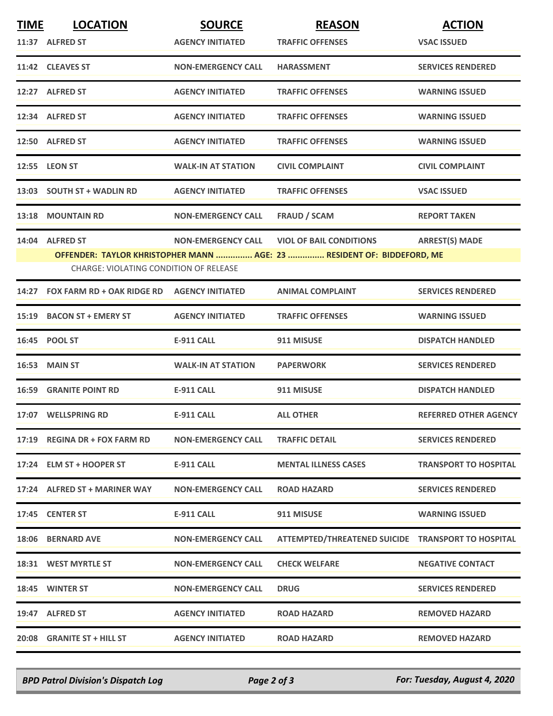| <b>TIME</b> | <b>LOCATION</b>                                                        | <b>SOURCE</b>             | <b>REASON</b>                                      | <b>ACTION</b>                |  |
|-------------|------------------------------------------------------------------------|---------------------------|----------------------------------------------------|------------------------------|--|
|             | 11:37 ALFRED ST                                                        | <b>AGENCY INITIATED</b>   | <b>TRAFFIC OFFENSES</b>                            | <b>VSAC ISSUED</b>           |  |
|             | 11:42 CLEAVES ST                                                       | <b>NON-EMERGENCY CALL</b> | <b>HARASSMENT</b>                                  | <b>SERVICES RENDERED</b>     |  |
|             | 12:27 ALFRED ST                                                        | <b>AGENCY INITIATED</b>   | <b>TRAFFIC OFFENSES</b>                            | <b>WARNING ISSUED</b>        |  |
|             | 12:34 ALFRED ST                                                        | <b>AGENCY INITIATED</b>   | <b>TRAFFIC OFFENSES</b>                            | <b>WARNING ISSUED</b>        |  |
|             | 12:50 ALFRED ST                                                        | <b>AGENCY INITIATED</b>   | <b>TRAFFIC OFFENSES</b>                            | <b>WARNING ISSUED</b>        |  |
|             | 12:55 LEON ST                                                          | <b>WALK-IN AT STATION</b> | <b>CIVIL COMPLAINT</b>                             | <b>CIVIL COMPLAINT</b>       |  |
|             | 13:03 SOUTH ST + WADLIN RD                                             | <b>AGENCY INITIATED</b>   | <b>TRAFFIC OFFENSES</b>                            | <b>VSAC ISSUED</b>           |  |
|             | <b>13:18 MOUNTAIN RD</b>                                               | <b>NON-EMERGENCY CALL</b> | <b>FRAUD / SCAM</b>                                | <b>REPORT TAKEN</b>          |  |
|             | 14:04 ALFRED ST                                                        | <b>NON-EMERGENCY CALL</b> | <b>VIOL OF BAIL CONDITIONS</b>                     | <b>ARREST(S) MADE</b>        |  |
|             | OFFENDER: TAYLOR KHRISTOPHER MANN  AGE: 23  RESIDENT OF: BIDDEFORD, ME |                           |                                                    |                              |  |
|             | <b>CHARGE: VIOLATING CONDITION OF RELEASE</b>                          |                           |                                                    |                              |  |
|             | 14:27 FOX FARM RD + OAK RIDGE RD AGENCY INITIATED                      |                           | <b>ANIMAL COMPLAINT</b>                            | <b>SERVICES RENDERED</b>     |  |
|             | 15:19 BACON ST + EMERY ST                                              | <b>AGENCY INITIATED</b>   | <b>TRAFFIC OFFENSES</b>                            | <b>WARNING ISSUED</b>        |  |
|             | 16:45 POOL ST                                                          | <b>E-911 CALL</b>         | 911 MISUSE                                         | <b>DISPATCH HANDLED</b>      |  |
|             | <b>16:53 MAIN ST</b>                                                   | <b>WALK-IN AT STATION</b> | <b>PAPERWORK</b>                                   | <b>SERVICES RENDERED</b>     |  |
|             | <b>16:59 GRANITE POINT RD</b>                                          | <b>E-911 CALL</b>         | 911 MISUSE                                         | <b>DISPATCH HANDLED</b>      |  |
|             | 17:07 WELLSPRING RD                                                    | <b>E-911 CALL</b>         | <b>ALL OTHER</b>                                   | <b>REFERRED OTHER AGENCY</b> |  |
|             | 17:19 REGINA DR + FOX FARM RD                                          | <b>NON-EMERGENCY CALL</b> | <b>TRAFFIC DETAIL</b>                              | <b>SERVICES RENDERED</b>     |  |
|             | 17:24 ELM ST + HOOPER ST                                               | <b>E-911 CALL</b>         | <b>MENTAL ILLNESS CASES</b>                        | <b>TRANSPORT TO HOSPITAL</b> |  |
|             | 17:24 ALFRED ST + MARINER WAY                                          | <b>NON-EMERGENCY CALL</b> | <b>ROAD HAZARD</b>                                 | <b>SERVICES RENDERED</b>     |  |
|             | 17:45 CENTER ST                                                        | <b>E-911 CALL</b>         | 911 MISUSE                                         | <b>WARNING ISSUED</b>        |  |
|             | <b>18:06 BERNARD AVE</b>                                               | <b>NON-EMERGENCY CALL</b> | ATTEMPTED/THREATENED SUICIDE TRANSPORT TO HOSPITAL |                              |  |
|             | 18:31 WEST MYRTLE ST                                                   | <b>NON-EMERGENCY CALL</b> | <b>CHECK WELFARE</b>                               | <b>NEGATIVE CONTACT</b>      |  |
|             | 18:45 WINTER ST                                                        | <b>NON-EMERGENCY CALL</b> | <b>DRUG</b>                                        | <b>SERVICES RENDERED</b>     |  |
|             | 19:47 ALFRED ST                                                        | <b>AGENCY INITIATED</b>   | <b>ROAD HAZARD</b>                                 | <b>REMOVED HAZARD</b>        |  |
|             | 20:08 GRANITE ST + HILL ST                                             | <b>AGENCY INITIATED</b>   | <b>ROAD HAZARD</b>                                 | <b>REMOVED HAZARD</b>        |  |

*BPD Patrol Division's Dispatch Log Page 2 of 3 For: Tuesday, August 4, 2020*